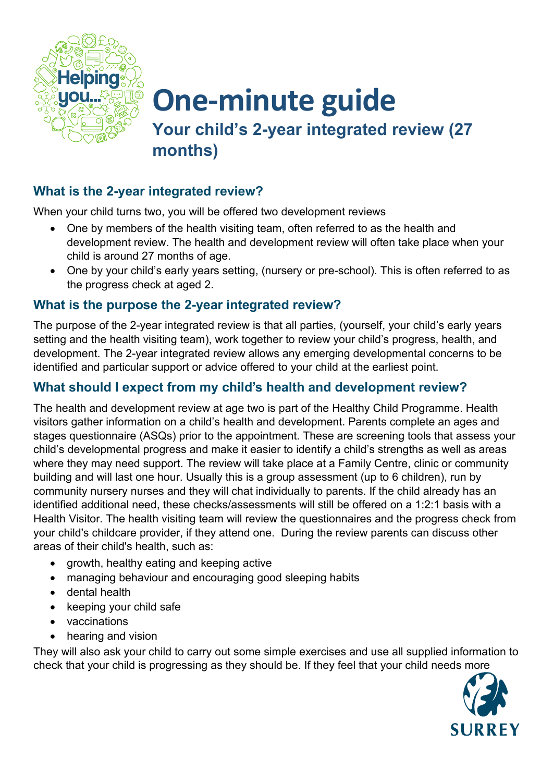

**One-minute guide Your child's 2-year integrated review (27 months)**

## **What is the 2-year integrated review?**

When your child turns two, you will be offered two development reviews

- One by members of the health visiting team, often referred to as the health and development review. The health and development review will often take place when your child is around 27 months of age.
- One by your child's early years setting, (nursery or pre-school). This is often referred to as the progress check at aged 2.

### **What is the purpose the 2-year integrated review?**

The purpose of the 2-year integrated review is that all parties, (yourself, your child's early years setting and the health visiting team), work together to review your child's progress, health, and development. The 2-year integrated review allows any emerging developmental concerns to be identified and particular support or advice offered to your child at the earliest point.

### **What should I expect from my child's health and development review?**

The health and development review at age two is part of the Healthy Child Programme. Health visitors gather information on a child's health and development. Parents complete an ages and stages questionnaire (ASQs) prior to the appointment. These are screening tools that assess your child's developmental progress and make it easier to identify a child's strengths as well as areas where they may need support. The review will take place at a Family Centre, clinic or community building and will last one hour. Usually this is a group assessment (up to 6 children), run by community nursery nurses and they will chat individually to parents. If the child already has an identified additional need, these checks/assessments will still be offered on a 1:2:1 basis with a Health Visitor. The health visiting team will review the questionnaires and the progress check from your child's childcare provider, if they attend one. During the review parents can discuss other areas of their child's health, such as:

- growth, healthy eating and keeping active
- managing behaviour and encouraging good sleeping habits
- dental health
- keeping your child safe
- vaccinations
- hearing and vision

They will also ask your child to carry out some simple exercises and use all supplied information to check that your child is progressing as they should be. If they feel that your child needs more